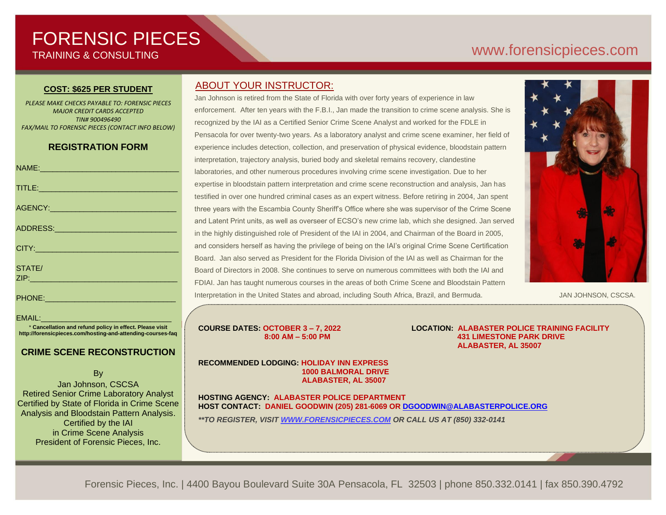# FORENSIC PIECES TRAINING & CONSULTING

# [www.forensicp](http://www.forensic/)ieces.com

#### **COST: \$625 PER STUDENT**

*PLEASE MAKE CHECKS PAYABLE TO: FORENSIC PIECES MAJOR CREDIT CARDS ACCEPTED TIN# 900496490 FAX/MAIL TO FORENSIC PIECES (CONTACT INFO BELOW)*

# **REGISTRATION FORM**

| TITLE: And the contract of the contract of the contract of the contract of the contract of the contract of the |  |
|----------------------------------------------------------------------------------------------------------------|--|
|                                                                                                                |  |
|                                                                                                                |  |
|                                                                                                                |  |
| STATE/<br><b>ZIP:</b> And the second contract of the second                                                    |  |
|                                                                                                                |  |

#### EMAIL:

\* **Cancellation and refund policy in effect. Please visit http://forensicpieces.com/hosting-and-attending-courses-faq**

# **CRIME SCENE RECONSTRUCTION**

By

Jan Johnson, CSCSA Retired Senior Crime Laboratory Analyst Certified by State of Florida in Crime Scene Analysis and Bloodstain Pattern Analysis. Certified by the IAI in Crime Scene Analysis President of Forensic Pieces, Inc.

# ABOUT YOUR INSTRUCTOR:

Jan Johnson is retired from the State of Florida with over forty years of experience in law enforcement. After ten years with the F.B.I., Jan made the transition to crime scene analysis. She is recognized by the IAI as a Certified Senior Crime Scene Analyst and worked for the FDLE in Pensacola for over twenty-two years. As a laboratory analyst and crime scene examiner, her field of experience includes detection, collection, and preservation of physical evidence, bloodstain pattern interpretation, trajectory analysis, buried body and skeletal remains recovery, clandestine laboratories, and other numerous procedures involving crime scene investigation. Due to her expertise in bloodstain pattern interpretation and crime scene reconstruction and analysis, Jan has testified in over one hundred criminal cases as an expert witness. Before retiring in 2004, Jan spent three years with the Escambia County Sheriff's Office where she was supervisor of the Crime Scene and Latent Print units, as well as overseer of ECSO's new crime lab, which she designed. Jan served in the highly distinguished role of President of the IAI in 2004, and Chairman of the Board in 2005, and considers herself as having the privilege of being on the IAI's original Crime Scene Certification Board. Jan also served as President for the Florida Division of the IAI as well as Chairman for the Board of Directors in 2008. She continues to serve on numerous committees with both the IAI and FDIAI. Jan has taught numerous courses in the areas of both Crime Scene and Bloodstain Pattern Interpretation in the United States and abroad, including South Africa, Brazil, and Bermuda.



JAN JOHNSON, CSCSA.

**COURSE DATES: OCTOBER 3 – 7, 2022 LOCATION: ALABASTER POLICE TRAINING FACILITY 8:00 AM – 5:00 PM 431 LIMESTONE PARK DRIVE ALABASTER, AL 35007**

**RECOMMENDED LODGING: HOLIDAY INN EXPRESS 1000 BALMORAL DRIVE ALABASTER, AL 35007**

**HOSTING AGENCY: ALABASTER POLICE DEPARTMENT HOST CONTACT: DANIEL GOODWIN (205) 281-6069 OR [DGOODWIN@ALABASTERPOLICE.ORG](mailto:DGOODWIN@ALABASTERPOLICE.ORG)**

*\*\*TO REGISTER, VISIT [WWW.FORENSICPIECES.COM](http://www.forensicpieces.com/) OR CALL US AT (850) 332-0141*

Forensic Pieces, Inc. | 4400 Bayou Boulevard Suite 30A Pensacola, FL 32503 | phone 850.332.0141 | fax 850.390.4792